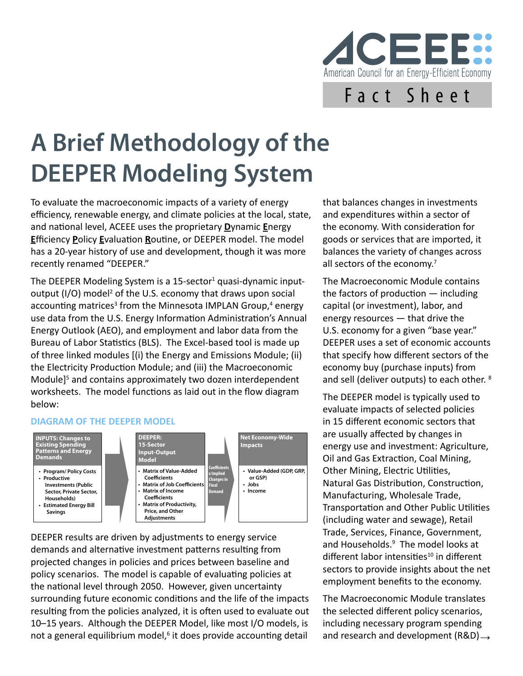

## **A Brief Methodology of the DEEPER Modeling System**

To evaluate the macroeconomic impacts of a variety of energy efficiency, renewable energy, and climate policies at the local, state, and national level, ACEEE uses the proprietary **D**ynamic **E**nergy **E**fficiency **P**olicy **E**valuation **R**outine, or DEEPER model. The model has a 20-year history of use and development, though it was more recently renamed "DEEPER."

The DEEPER Modeling System is a 15-sector<sup>1</sup> quasi-dynamic inputoutput (I/O) model<sup>2</sup> of the U.S. economy that draws upon social accounting matrices<sup>3</sup> from the Minnesota IMPLAN Group,<sup>4</sup> energy use data from the U.S. Energy Information Administration's Annual Energy Outlook (AEO), and employment and labor data from the Bureau of Labor Statistics (BLS). The Excel-based tool is made up of three linked modules [(i) the Energy and Emissions Module; (ii) the Electricity Production Module; and (iii) the Macroeconomic Module]<sup>5</sup> and contains approximately two dozen interdependent worksheets. The model functions as laid out in the flow diagram below:

## **DIAGRAM OF THE DEEPER MODEL**



DEEPER results are driven by adjustments to energy service demands and alternative investment patterns resulting from projected changes in policies and prices between baseline and policy scenarios. The model is capable of evaluating policies at the national level through 2050. However, given uncertainty surrounding future economic conditions and the life of the impacts resulting from the policies analyzed, it is often used to evaluate out 10–15 years. Although the DEEPER Model, like most I/O models, is not a general equilibrium model,<sup>6</sup> it does provide accounting detail

that balances changes in investments and expenditures within a sector of the economy. With consideration for goods or services that are imported, it balances the variety of changes across all sectors of the economy.<sup>7</sup>

The Macroeconomic Module contains the factors of production — including capital (or investment), labor, and energy resources — that drive the U.S. economy for a given "base year." DEEPER uses a set of economic accounts that specify how different sectors of the economy buy (purchase inputs) from and sell (deliver outputs) to each other. 8

The DEEPER model is typically used to evaluate impacts of selected policies in 15 different economic sectors that are usually affected by changes in energy use and investment: Agriculture, Oil and Gas Extraction, Coal Mining, Other Mining, Electric Utilities, Natural Gas Distribution, Construction, Manufacturing, Wholesale Trade, Transportation and Other Public Utilities (including water and sewage), Retail Trade, Services, Finance, Government, and Households.9 The model looks at different labor intensities $10$  in different sectors to provide insights about the net employment benefits to the economy.

The Macroeconomic Module translates the selected different policy scenarios, including necessary program spending it does provide accounting detail and research and development  $(R&D) \rightarrow$